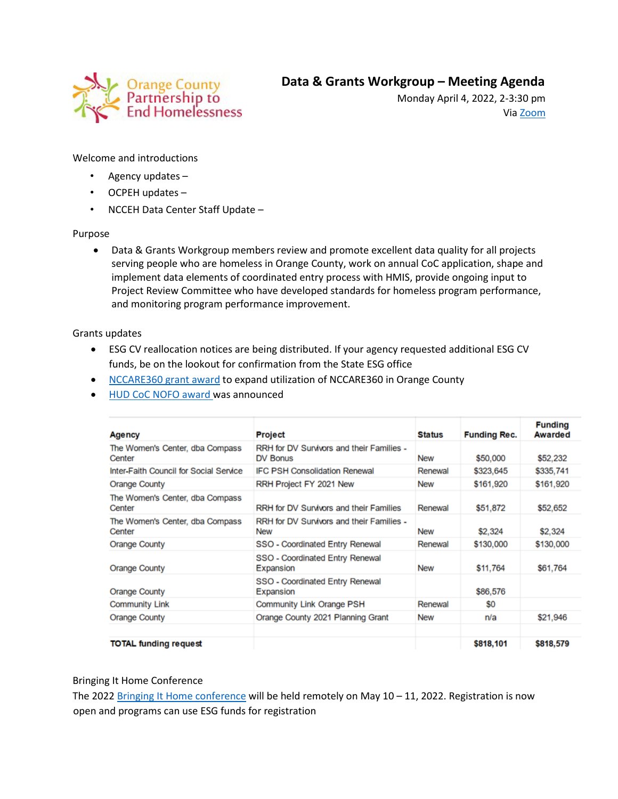

Monday April 4, 2022, 2-3:30 pm Via [Zoom](https://orangecountync.zoom.us/j/85241783763?pwd=MVhNbWlwNDNMS2k4U1habXRDTWJ4Zz09)

Welcome and introductions

- Agency updates –
- OCPEH updates –
- NCCEH Data Center Staff Update –

## Purpose

• Data & Grants Workgroup members review and promote excellent data quality for all projects serving people who are homeless in Orange County, work on annual CoC application, shape and implement data elements of coordinated entry process with HMIS, provide ongoing input to Project Review Committee who have developed standards for homeless program performance, and monitoring program performance improvement.

Grants updates

- ESG CV reallocation notices are being distributed. If your agency requested additional ESG CV funds, be on the lookout for confirmation from the State ESG office
- [NCCARE360 grant award](https://nccare360.org/community-funding/) to expand utilization of NCCARE360 in Orange County
- [HUD CoC NOFO](https://www.hud.gov/sites/dfiles/CPD/documents/FY2021_NC_Press_Report.pdf) award was announced

| Agency                                    | Project                                                 | <b>Status</b> | <b>Funding Rec.</b> | <b>Funding</b><br>Awarded |
|-------------------------------------------|---------------------------------------------------------|---------------|---------------------|---------------------------|
| The Women's Center, dba Compass<br>Center | RRH for DV Survivors and their Families -<br>DV Bonus   | <b>New</b>    | \$50,000            | \$52,232                  |
| Inter-Faith Council for Social Service    | <b>IFC PSH Consolidation Renewal</b>                    | Renewal       | \$323,645           | \$335,741                 |
| <b>Orange County</b>                      | RRH Project FY 2021 New                                 | <b>New</b>    | \$161,920           | \$161,920                 |
| The Women's Center, dba Compass<br>Center | <b>RRH for DV Survivors and their Families</b>          | Renewal       | \$51,872            | \$52,652                  |
| The Women's Center, dba Compass<br>Center | RRH for DV Survivors and their Families -<br><b>New</b> | <b>New</b>    | \$2,324             | \$2,324                   |
| <b>Orange County</b>                      | SSO - Coordinated Entry Renewal                         | Renewal       | \$130,000           | \$130,000                 |
| <b>Orange County</b>                      | SSO - Coordinated Entry Renewal<br>Expansion            | <b>New</b>    | \$11,764            | \$61,764                  |
| <b>Orange County</b>                      | SSO - Coordinated Entry Renewal<br>Expansion            |               | \$86,576            |                           |
| <b>Community Link</b>                     | Community Link Orange PSH                               | Renewal       | SO.                 |                           |
| <b>Orange County</b>                      | Orange County 2021 Planning Grant                       | <b>New</b>    | n/a                 | \$21,946                  |
| <b>TOTAL funding request</b>              |                                                         |               | \$818,101           | \$818,579                 |

## Bringing It Home Conference

The 2022 [Bringing It Home conference](https://nchousing.org/bringing-it-home-2022/) will be held remotely on May  $10 - 11$ , 2022. Registration is now open and programs can use ESG funds for registration